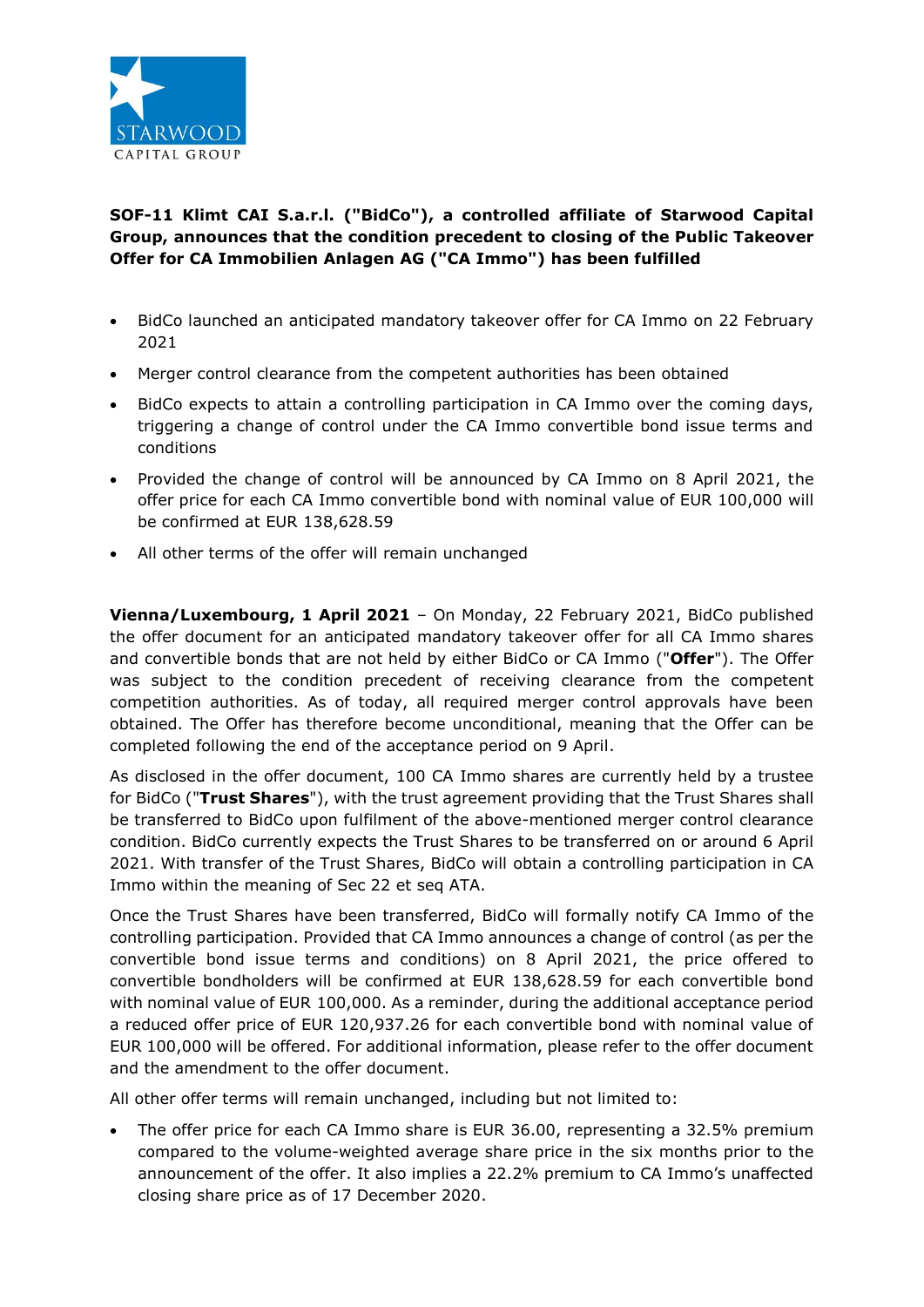

## **SOF-11 Klimt CAI S.a.r.l. ("BidCo"), a controlled affiliate of Starwood Capital Group, announces that the condition precedent to closing of the Public Takeover Offer for CA Immobilien Anlagen AG ("CA Immo") has been fulfilled**

- BidCo launched an anticipated mandatory takeover offer for CA Immo on 22 February 2021
- Merger control clearance from the competent authorities has been obtained
- BidCo expects to attain a controlling participation in CA Immo over the coming days, triggering a change of control under the CA Immo convertible bond issue terms and conditions
- Provided the change of control will be announced by CA Immo on 8 April 2021, the offer price for each CA Immo convertible bond with nominal value of EUR 100,000 will be confirmed at EUR 138,628.59
- All other terms of the offer will remain unchanged

**Vienna/Luxembourg, 1 April 2021** – On Monday, 22 February 2021, BidCo published the offer document for an anticipated mandatory takeover offer for all CA Immo shares and convertible bonds that are not held by either BidCo or CA Immo ("**Offer**"). The Offer was subject to the condition precedent of receiving clearance from the competent competition authorities. As of today, all required merger control approvals have been obtained. The Offer has therefore become unconditional, meaning that the Offer can be completed following the end of the acceptance period on 9 April.

As disclosed in the offer document, 100 CA Immo shares are currently held by a trustee for BidCo ("**Trust Shares**"), with the trust agreement providing that the Trust Shares shall be transferred to BidCo upon fulfilment of the above-mentioned merger control clearance condition. BidCo currently expects the Trust Shares to be transferred on or around 6 April 2021. With transfer of the Trust Shares, BidCo will obtain a controlling participation in CA Immo within the meaning of Sec 22 et seq ATA.

Once the Trust Shares have been transferred, BidCo will formally notify CA Immo of the controlling participation. Provided that CA Immo announces a change of control (as per the convertible bond issue terms and conditions) on 8 April 2021, the price offered to convertible bondholders will be confirmed at EUR 138,628.59 for each convertible bond with nominal value of EUR 100,000. As a reminder, during the additional acceptance period a reduced offer price of EUR 120,937.26 for each convertible bond with nominal value of EUR 100,000 will be offered. For additional information, please refer to the offer document and the amendment to the offer document.

All other offer terms will remain unchanged, including but not limited to:

 The offer price for each CA Immo share is EUR 36.00, representing a 32.5% premium compared to the volume-weighted average share price in the six months prior to the announcement of the offer. It also implies a 22.2% premium to CA Immo's unaffected closing share price as of 17 December 2020.